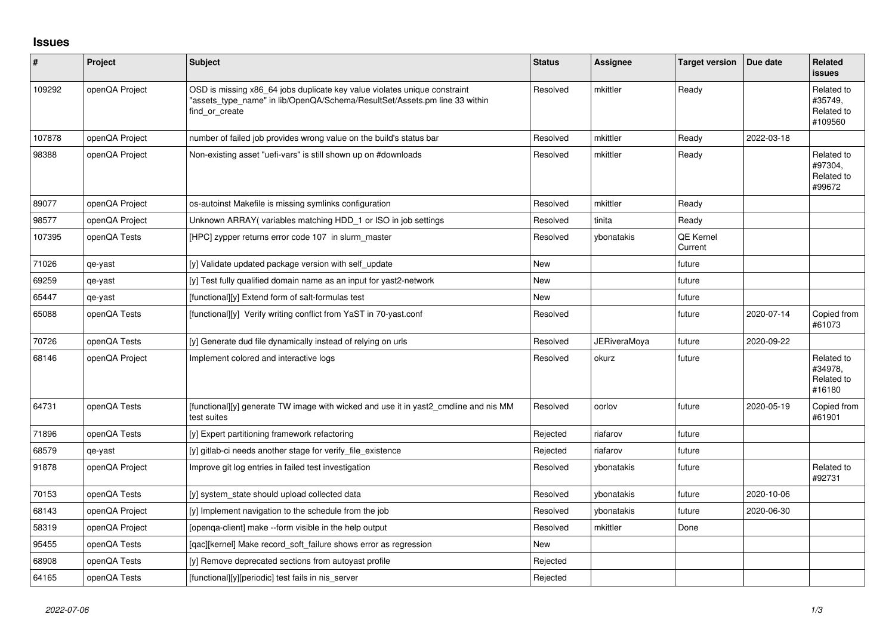## **Issues**

| ∦      | Project        | <b>Subject</b>                                                                                                                                                            | <b>Status</b> | Assignee            | <b>Target version</b>       | Due date   | Related<br><b>issues</b>                       |
|--------|----------------|---------------------------------------------------------------------------------------------------------------------------------------------------------------------------|---------------|---------------------|-----------------------------|------------|------------------------------------------------|
| 109292 | openQA Project | OSD is missing x86_64 jobs duplicate key value violates unique constraint<br>'assets type name" in lib/OpenQA/Schema/ResultSet/Assets.pm line 33 within<br>find or create | Resolved      | mkittler            | Ready                       |            | Related to<br>#35749,<br>Related to<br>#109560 |
| 107878 | openQA Project | number of failed job provides wrong value on the build's status bar                                                                                                       | Resolved      | mkittler            | Ready                       | 2022-03-18 |                                                |
| 98388  | openQA Project | Non-existing asset "uefi-vars" is still shown up on #downloads                                                                                                            | Resolved      | mkittler            | Ready                       |            | Related to<br>#97304,<br>Related to<br>#99672  |
| 89077  | openQA Project | os-autoinst Makefile is missing symlinks configuration                                                                                                                    | Resolved      | mkittler            | Ready                       |            |                                                |
| 98577  | openQA Project | Unknown ARRAY(variables matching HDD_1 or ISO in job settings                                                                                                             | Resolved      | tinita              | Ready                       |            |                                                |
| 107395 | openQA Tests   | [HPC] zypper returns error code 107 in slurm master                                                                                                                       | Resolved      | ybonatakis          | <b>QE Kernel</b><br>Current |            |                                                |
| 71026  | qe-yast        | [y] Validate updated package version with self_update                                                                                                                     | <b>New</b>    |                     | future                      |            |                                                |
| 69259  | qe-yast        | [y] Test fully qualified domain name as an input for yast2-network                                                                                                        | <b>New</b>    |                     | future                      |            |                                                |
| 65447  | qe-yast        | [functional][y] Extend form of salt-formulas test                                                                                                                         | New           |                     | future                      |            |                                                |
| 65088  | openQA Tests   | [functional][y] Verify writing conflict from YaST in 70-yast.conf                                                                                                         | Resolved      |                     | future                      | 2020-07-14 | Copied from<br>#61073                          |
| 70726  | openQA Tests   | [y] Generate dud file dynamically instead of relying on urls                                                                                                              | Resolved      | <b>JERiveraMoya</b> | future                      | 2020-09-22 |                                                |
| 68146  | openQA Project | Implement colored and interactive logs                                                                                                                                    | Resolved      | okurz               | future                      |            | Related to<br>#34978.<br>Related to<br>#16180  |
| 64731  | openQA Tests   | [functional][y] generate TW image with wicked and use it in yast2 cmdline and nis MM<br>test suites                                                                       | Resolved      | oorlov              | future                      | 2020-05-19 | Copied from<br>#61901                          |
| 71896  | openQA Tests   | [y] Expert partitioning framework refactoring                                                                                                                             | Rejected      | riafarov            | future                      |            |                                                |
| 68579  | qe-yast        | [y] gitlab-ci needs another stage for verify_file_existence                                                                                                               | Rejected      | riafarov            | future                      |            |                                                |
| 91878  | openQA Project | Improve git log entries in failed test investigation                                                                                                                      | Resolved      | ybonatakis          | future                      |            | Related to<br>#92731                           |
| 70153  | openQA Tests   | [y] system_state should upload collected data                                                                                                                             | Resolved      | ybonatakis          | future                      | 2020-10-06 |                                                |
| 68143  | openQA Project | [y] Implement navigation to the schedule from the job                                                                                                                     | Resolved      | ybonatakis          | future                      | 2020-06-30 |                                                |
| 58319  | openQA Project | [openga-client] make --form visible in the help output                                                                                                                    | Resolved      | mkittler            | Done                        |            |                                                |
| 95455  | openQA Tests   | [gac][kernel] Make record soft failure shows error as regression                                                                                                          | New           |                     |                             |            |                                                |
| 68908  | openQA Tests   | [y] Remove deprecated sections from autoyast profile                                                                                                                      | Rejected      |                     |                             |            |                                                |
| 64165  | openQA Tests   | [functional][y][periodic] test fails in nis server                                                                                                                        | Rejected      |                     |                             |            |                                                |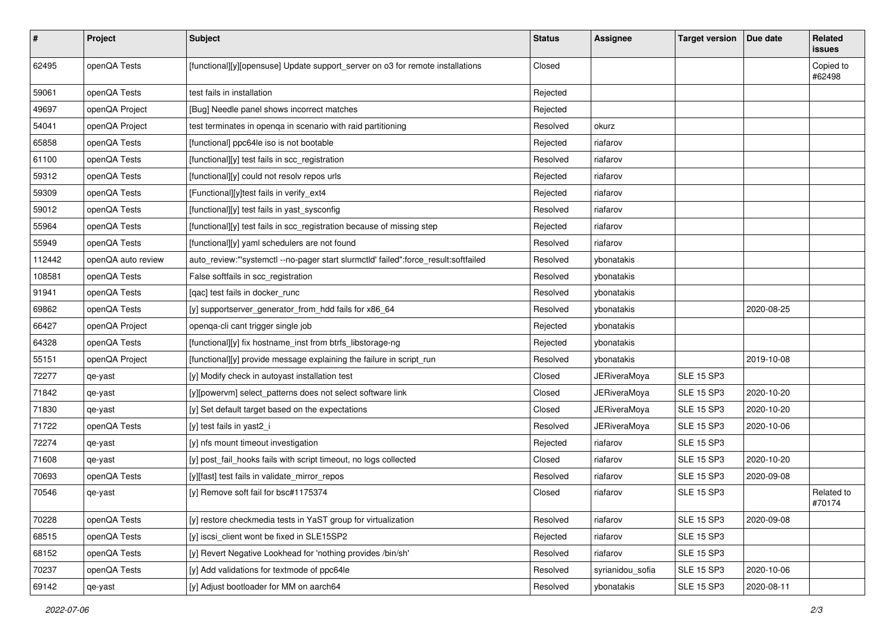| $\vert$ # | Project            | <b>Subject</b>                                                                      | <b>Status</b> | <b>Assignee</b>     | <b>Target version</b> | Due date   | Related<br>issues    |
|-----------|--------------------|-------------------------------------------------------------------------------------|---------------|---------------------|-----------------------|------------|----------------------|
| 62495     | openQA Tests       | [functional][y][opensuse] Update support_server on o3 for remote installations      | Closed        |                     |                       |            | Copied to<br>#62498  |
| 59061     | openQA Tests       | test fails in installation                                                          | Rejected      |                     |                       |            |                      |
| 49697     | openQA Project     | [Bug] Needle panel shows incorrect matches                                          | Rejected      |                     |                       |            |                      |
| 54041     | openQA Project     | test terminates in openga in scenario with raid partitioning                        | Resolved      | okurz               |                       |            |                      |
| 65858     | openQA Tests       | [functional] ppc64le iso is not bootable                                            | Rejected      | riafarov            |                       |            |                      |
| 61100     | openQA Tests       | [functional][y] test fails in scc_registration                                      | Resolved      | riafarov            |                       |            |                      |
| 59312     | openQA Tests       | [functional][y] could not resolv repos urls                                         | Rejected      | riafarov            |                       |            |                      |
| 59309     | openQA Tests       | [Functional][y]test fails in verify_ext4                                            | Rejected      | riafarov            |                       |            |                      |
| 59012     | openQA Tests       | [functional][y] test fails in yast_sysconfig                                        | Resolved      | riafarov            |                       |            |                      |
| 55964     | openQA Tests       | [functional][y] test fails in scc_registration because of missing step              | Rejected      | riafarov            |                       |            |                      |
| 55949     | openQA Tests       | [functional][y] yaml schedulers are not found                                       | Resolved      | riafarov            |                       |            |                      |
| 112442    | openQA auto review | auto_review:"'systemctl --no-pager start slurmctld' failed":force_result:softfailed | Resolved      | ybonatakis          |                       |            |                      |
| 108581    | openQA Tests       | False softfails in scc_registration                                                 | Resolved      | ybonatakis          |                       |            |                      |
| 91941     | openQA Tests       | [qac] test fails in docker_runc                                                     | Resolved      | ybonatakis          |                       |            |                      |
| 69862     | openQA Tests       | [y] supportserver_generator_from_hdd fails for x86_64                               | Resolved      | ybonatakis          |                       | 2020-08-25 |                      |
| 66427     | openQA Project     | openqa-cli cant trigger single job                                                  | Rejected      | ybonatakis          |                       |            |                      |
| 64328     | openQA Tests       | [functional][y] fix hostname_inst from btrfs_libstorage-ng                          | Rejected      | ybonatakis          |                       |            |                      |
| 55151     | openQA Project     | [functional][y] provide message explaining the failure in script_run                | Resolved      | ybonatakis          |                       | 2019-10-08 |                      |
| 72277     | qe-yast            | [y] Modify check in autoyast installation test                                      | Closed        | <b>JERiveraMoya</b> | <b>SLE 15 SP3</b>     |            |                      |
| 71842     | qe-yast            | [y][powervm] select_patterns does not select software link                          | Closed        | JERiveraMoya        | <b>SLE 15 SP3</b>     | 2020-10-20 |                      |
| 71830     | qe-yast            | [y] Set default target based on the expectations                                    | Closed        | <b>JERiveraMoya</b> | <b>SLE 15 SP3</b>     | 2020-10-20 |                      |
| 71722     | openQA Tests       | [y] test fails in yast2_i                                                           | Resolved      | <b>JERiveraMoya</b> | <b>SLE 15 SP3</b>     | 2020-10-06 |                      |
| 72274     | qe-yast            | [y] nfs mount timeout investigation                                                 | Rejected      | riafarov            | <b>SLE 15 SP3</b>     |            |                      |
| 71608     | qe-yast            | [y] post_fail_hooks fails with script timeout, no logs collected                    | Closed        | riafarov            | <b>SLE 15 SP3</b>     | 2020-10-20 |                      |
| 70693     | openQA Tests       | [y][fast] test fails in validate_mirror_repos                                       | Resolved      | riafarov            | <b>SLE 15 SP3</b>     | 2020-09-08 |                      |
| 70546     | qe-yast            | [y] Remove soft fail for bsc#1175374                                                | Closed        | riafarov            | <b>SLE 15 SP3</b>     |            | Related to<br>#70174 |
| 70228     | openQA Tests       | [y] restore checkmedia tests in YaST group for virtualization                       | Resolved      | riafarov            | <b>SLE 15 SP3</b>     | 2020-09-08 |                      |
| 68515     | openQA Tests       | [y] iscsi client wont be fixed in SLE15SP2                                          | Rejected      | riafarov            | <b>SLE 15 SP3</b>     |            |                      |
| 68152     | openQA Tests       | [y] Revert Negative Lookhead for 'nothing provides /bin/sh'                         | Resolved      | riafarov            | <b>SLE 15 SP3</b>     |            |                      |
| 70237     | openQA Tests       | [y] Add validations for textmode of ppc64le                                         | Resolved      | syrianidou_sofia    | <b>SLE 15 SP3</b>     | 2020-10-06 |                      |
| 69142     | qe-yast            | [y] Adjust bootloader for MM on aarch64                                             | Resolved      | ybonatakis          | <b>SLE 15 SP3</b>     | 2020-08-11 |                      |